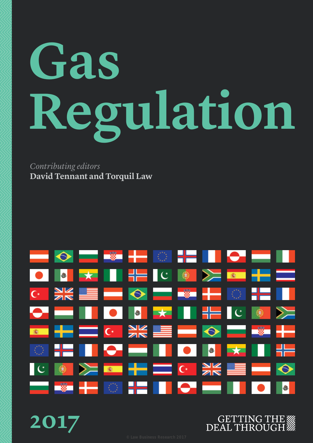# **Gas Regulation**

*Contributing editors* **David Tennant and Torquil Law**



###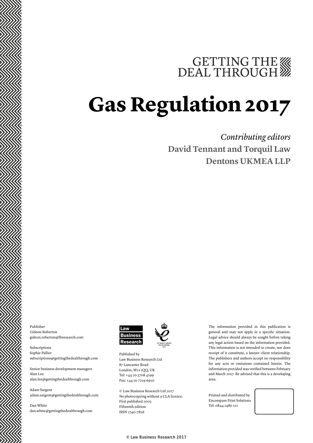# GETTING THE

# **Gas Regulation 2017**

### *Contributing editors* **David Tennant and Torquil Law Dentons UKMEA LLP**

Publisher Gideon Roberton gideon.roberton@lbresearch.com

Subscriptions Sophie Pallier subscriptions@gettingthedealthrough.com

Senior business development managers Alan Lee alan.lee@gettingthedealthrough.com

Adam Sargent adam.sargent@gettingthedealthrough.com

Dan White dan.white@gettingthedealthrough.com





London, W11 1QQ, UK Tel: +44 20 3708 4199 Fax: +44 20 7229 6910

© Law Business Research Ltd 2017 No photocopying without a CLA licence. First published 2003 Fifteenth edition ISSN 1740-7826

The information provided in this publication is general and may not apply in a specific situation. Legal advice should always be sought before taking any legal action based on the information provided. This information is not intended to create, nor does receipt of it constitute, a lawyer–client relationship. The publishers and authors accept no responsibility for any acts or omissions contained herein. The information provided was verified between February and March 2017. Be advised that this is a developing area.

Printed and distributed by Encompass Print Solutions Tel: 0844 2480 112

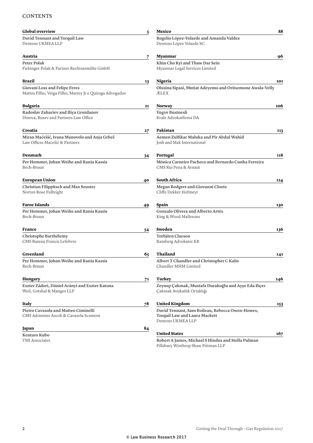#### **CONTENTS**

| <b>Global overview</b>                                                                    | 5  | Mexico                                                                                                       | 88  |
|-------------------------------------------------------------------------------------------|----|--------------------------------------------------------------------------------------------------------------|-----|
| David Tennant and Torquil Law<br>Dentons UKMEA LLP                                        |    | Rogelio López-Velarde and Amanda Valdez<br>Dentons López Velarde SC                                          |     |
| Austria                                                                                   | 7  | Myanmar                                                                                                      | 96  |
| Peter Polak<br>Fiebinger Polak & Partner Rechtsanwälte GmbH                               |    | Khin Cho Kyi and Thaw Dar Sein<br>Myanmar Legal Services Limited                                             |     |
| Brazil                                                                                    | 13 | Nigeria                                                                                                      | 101 |
| Giovani Loss and Felipe Feres<br>Mattos Filho, Veiga Filho, Marrey Jr e Quiroga Advogados |    | Olusina Sipasi, Mutiat Adeyemo and Oritsemone Awala-Velly<br>ÆLEX                                            |     |
| <b>Bulgaria</b>                                                                           | 21 | Norway                                                                                                       | 106 |
| Radoslav Zahariev and Iliya Grozdanov<br>Dinova, Rusev and Partners Law Office            |    | <b>Yngve Bustnesli</b><br>Kvale Advokatfirma DA                                                              |     |
| Croatia                                                                                   | 27 | Pakistan                                                                                                     | 113 |
| Miran Maćešić, Ivana Manovelo and Anja Grbeš<br>Law Offices Maćešić & Partners            |    | Aemen Zulfikar Maluka and Pir Abdul Wahid<br>Josh and Mak International                                      |     |
| Denmark                                                                                   | 34 | Portugal                                                                                                     | 118 |
| Per Hemmer, Johan Weihe and Rania Kassis<br>Bech-Bruun                                    |    | Mónica Carneiro Pacheco and Bernardo Cunha Ferreira<br>CMS Rui Pena & Arnaut                                 |     |
| <b>European Union</b>                                                                     | 40 | <b>South Africa</b>                                                                                          | 124 |
| <b>Christian Filippitsch and Max Seuster</b><br>Norton Rose Fulbright                     |    | Megan Rodgers and Giovanni Cloete<br>Cliffe Dekker Hofmeyr                                                   |     |
| <b>Faroe Islands</b>                                                                      | 49 | Spain                                                                                                        | 130 |
| Per Hemmer, Johan Weihe and Rania Kassis<br>Bech-Bruun                                    |    | <b>Gonzalo Olivera and Alberto Artés</b><br>King & Wood Mallesons                                            |     |
| France                                                                                    | 54 | Sweden                                                                                                       | 136 |
| Christophe Barthélemy<br>CMS Bureau Francis Lefebvre                                      |    | Torbjörn Claeson<br>Ramberg Advokater KB                                                                     |     |
| Greenland                                                                                 | 65 | Thailand                                                                                                     | 141 |
| Per Hemmer, Johan Weihe and Rania Kassis<br>Bech-Bruun                                    |    | Albert T Chandler and Christopher C Kalis<br>Chandler MHM Limited                                            |     |
| <b>Hungary</b>                                                                            | 71 | Turkey                                                                                                       | 146 |
| Eszter Zádori, Dániel Arányi and Eszter Katona<br>Weil, Gotshal & Manges LLP              |    | Zeynep Çakmak, Mustafa Durakoğlu and Ayşe Eda Biçer<br>Çakmak Avukatlık Ortaklığı                            |     |
| Italy                                                                                     | 78 | <b>United Kingdom</b>                                                                                        | 153 |
| Pietro Cavasola and Matteo Ciminelli<br>CMS Adonnino Ascoli & Cavasola Scamoni            |    | David Tennant, Sam Boileau, Rebecca Owen-Howes,<br><b>Torquil Law and Laura Mackett</b><br>Dentons UKMEA LLP |     |
| Japan                                                                                     | 84 |                                                                                                              |     |
| Kentaro Kubo<br>TMI Associates                                                            |    | <b>United States</b><br>Robert A James, Michael S Hindus and Stella Pulman                                   | 167 |
|                                                                                           |    | Pillsbury Winthrop Shaw Pittman LLP                                                                          |     |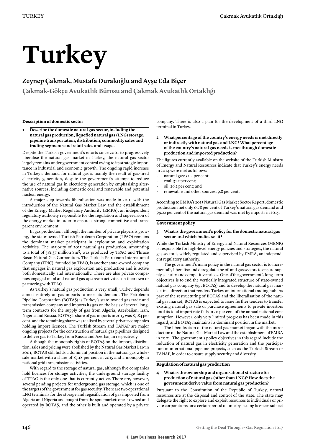# **Turkey**

#### **Zeynep Çakmak, Mustafa Durakoğlu and Ayşe Eda Biçer**

**Çakmak-Gökçe Avukatlık Bürosu and Çakmak Avukatlık Ortaklığı**

#### **Description of domestic sector**

**1 Describe the domestic natural gas sector, including the natural gas production, liquefied natural gas (LNG) storage, pipeline transportation, distribution, commodity sales and trading segments and retail sales and usage.** 

Despite the Turkish government's efforts since 2001 to progressively liberalise the natural gas market in Turkey, the natural gas sector largely remains under government control owing to its strategic importance in industrial and economic growth. The ongoing rapid increase in Turkey's demand for natural gas is mainly the result of gas-fired electricity generation, despite the government's attempt to reduce the use of natural gas in electricity generation by emphasising alternative sources, including domestic coal and renewable and potential nuclear energy.

A major step towards liberalisation was made in 2001 with the introduction of the Natural Gas Market Law and the establishment of the Energy Market Regulatory Authority (EMRA), an independent regulatory authority responsible for the regulation and supervision of the energy market in order to ensure a strong, competitive and transparent environment.

In gas production, although the number of private players is growing, the state-owned Turkish Petroleum Corporation (TPAO) remains the dominant market participant in exploration and exploitation activities. The majority of 2015 natural gas production, amounting to a total of 381.37 million Sm3, was produced by TPAO and Thrace Basin Natural Gas Corporation. The Turkish Petroleum International Company (TPIC), founded by TPAO, is another state-owned company that engages in natural gas exploration and production and is active both domestically and internationally. There are also private companies engaged in oil and natural gas upstream activities on their own or partnering with TPAO.

As Turkey's natural gas production is very small, Turkey depends almost entirely on gas imports to meet its demand. The Petroleum Pipeline Corporation (BOTAŞ) is Turkey's state-owned gas trade and transmission company and imports its gas on the basis of several longterm contracts for the supply of gas from Algeria, Azerbaijan, Iran, Nigeria and Russia. BOTAŞ's share of gas imports in 2015 was 83.84 per cent, and the remaining share was realised by several private companies holding import licences. The Turkish Stream and TANAP are major ongoing projects for the construction of natural gas pipelines designed to deliver gas to Turkey from Russia and Azerbaijan respectively.

Although the monopoly rights of BOTAŞ on the import, distribution, sales and pricing were abolished by the Natural Gas Market Law in 2001, BOTAŞ still holds a dominant position in the natural gas wholesale market with a share of 83.18 per cent in 2015 and a monopoly in national grid transmission activities.

With regard to the storage of natural gas, although five companies hold licences for storage activities, the underground storage facility of TPAO is the only one that is currently active. There are, however, several pending projects for underground gas storage, which is one of the targets of the government for gas security. There are two operational LNG terminals for the storage and regasification of gas imported from Algeria and Nigeria and bought from the spot market; one is owned and operated by BOTAŞ, and the other is built and operated by a private

company. There is also a plan for the development of a third LNG terminal in Turkey.

**2 What percentage of the country's energy needs is met directly or indirectly with natural gas and LNG? What percentage of the country's natural gas needs is met through domestic production and imported production?**

The figures currently available on the website of the Turkish Ministry of Energy and Natural Resources indicate that Turkey's energy needs in 2014 were met as follows:

- natural gas: 32.4 per cent;
- coal: 31.5 per cent;
- oil: 26.2 per cent; and
- renewable and other sources: 9.8 per cent.

According to EMRA's 2015 Natural Gas Market Sector Report, domestic production met only 0.78 per cent of Turkey's natural gas demand and 99.22 per cent of the natural gas demand was met by imports in 2015.

#### **Government policy**

#### **3 What is the government's policy for the domestic natural gas sector and which bodies set it?**

While the Turkish Ministry of Energy and Natural Resources (MENR) is responsible for high-level energy policies and strategies, the natural gas sector is widely regulated and supervised by EMRA, an independent regulatory authority.

The government's main policy in the natural gas sector is to incrementally liberalise and deregulate the oil and gas sectors to ensure supply security and competitive prices. One of the government's long-term objectives is to end the vertically integrated structure of state-owned natural gas company (eg, BOTAŞ) and to develop the natural gas market in a direction that renders Turkey an international trading hub. As part of the restructuring of BOTAŞ and the liberalisation of the natural gas market, BOTAŞ is expected to issue further tenders to transfer existing natural gas sale or purchase agreements to private investors until its total import rate falls to 20 per cent of the annual national consumption. However, only very limited progress has been made in this regard, and BOTAŞ maintains its dominant position in the market.

The liberalisation of the natural gas market began with the introduction of the Natural Gas Market Law and the establishment of EMRA in 2001. The government's policy objectives in this regard include the reduction of natural gas in electricity generation and the participation in international pipeline projects, such as the Turkish Stream or TANAP, in order to ensure supply security and diversity.

#### **Regulation of natural gas production**

#### **4 What is the ownership and organisational structure for production of natural gas (other than LNG)? How does the government derive value from natural gas production?**

Pursuant to the Constitution of the Republic of Turkey, natural resources are at the disposal and control of the state. The state may delegate the right to explore and exploit resources to individuals or private corporations for a certain period of time by issuing licences subject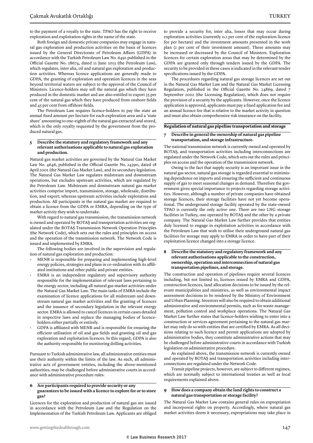to the payment of a royalty to the state. TPAO has the right to receive exploration and exploitation rights in the name of the state.

Both foreign and domestic private companies may engage in natural gas exploration and production activities on the basis of licences issued by the General Directorate of Petroleum Affairs (GDPA) in accordance with the Turkish Petroleum Law No. 6491 published in the Official Gazette No. 28674, dated 11 June 2013 (the Petroleum Law), which regulates, inter alia, oil and natural gas exploration and production activities. Whereas licence applications are generally made to GDPA, the granting of exploration and operation licences in the seas beyond territorial waters are subject to the approval of the Council of Ministers. Licence-holders may sell the natural gas which they have produced in the domestic market and are also entitled to export 35 per cent of the natural gas which they have produced from onshore fields and 45 per cent from offshore fields.

The Petroleum Law requires licence-holders to pay the state an annual fixed amount per hectare for each exploration area and a 'state share' amounting to one-eighth of the natural gas extracted and stored, which is the only royalty requested by the government from the produced natural gas.

#### **5 Describe the statutory and regulatory framework and any relevant authorisations applicable to natural gas exploration and production.**

Natural gas market activities are governed by the Natural Gas Market Law No. 4646, published in the Official Gazette No. 24390, dated 18 April 2001 (the Natural Gas Market Law), and its secondary legislation. The Natural Gas Market Law regulates midstream and downstream operations, but excludes upstream activities, which are regulated by the Petroleum Law. Midstream and downstream natural gas market activities comprise import, transmission, storage, wholesale, distribution, and export; whereas upstream activities include exploration and production. All participants in the natural gas market are required to obtain a licence from the GDPA or EMRA, depending on the type of market activity they wish to undertake.

With regard to natural gas transmission, the transmission network is owned and operated by BOTAŞ and transportation activities are regulated under the BOTAŞ Transmission Network Operation Principles (the Network Code), which sets out the rules and principles on access and the operation of the transmission network. The Network Code is issued and implemented by EMRA.

The following bodies are involved in the supervision and regulation of natural gas exploration and production:

- MENR is responsible for preparing and implementing high-level energy policies, strategies and plans in co-ordination with its affiliated institutions and other public and private entities.
- EMRA is an independent regulatory and supervisory authority responsible for the implementation of relevant laws pertaining to the energy sector, including all natural gas market activities under the Natural Gas Market Law. The main tasks of EMRA include the examination of licence applications for all midstream and downstream natural gas market activities and the granting of licences and the issuance of secondary legislation in the relevant energy sector. EMRA is allowed to cancel licences in certain cases detailed in respective laws and replace the managing bodies of licenceholders either partially or entirely.
- GDPA is affiliated with MENR and is responsible for ensuring the efficient utilisation of oil and gas fields and granting oil and gas exploration and exploitation licences. In this regard, GDPA is also the authority responsible for monitoring drilling activities.

Pursuant to Turkish administrative law, all administrative entities must use their authority within the limits of the law. As such, all administrative acts of government entities, including the above-mentioned authorities, may be challenged before administrative courts in accordance with administrative procedure rules.

#### **6 Are participants required to provide security or any guarantees to be issued with a licence to explore for or to store gas?**

Licences for the exploration and production of natural gas are issued in accordance with the Petroleum Law and the Regulation on the Implementation of the Turkish Petroleum Law. Applicants are obliged to provide a security for, inter alia, losses that may occur during exploration activities (currently 0.1 per cent of the exploration licence fee per hectare) and the investment amounts presented in the work plan (2 per cent of their investment amount). These amounts may be increased or decreased by the Council of Ministers. Exploration licences for certain exploration areas that may be determined by the GDPA are granted only through tenders issued by the GDPA. The security to be provided in these cases is indicated in the relevant tender specifications issued by the GDPA.

The procedures regarding natural gas storage licences are set out in the Natural Gas Market Law and the Natural Gas Market Licensing Regulation, published in the Official Gazette No. 24869, dated 7 September 2002 (the Licensing Regulation), which does not require the provision of a security by the applicants. However, once the licence application is approved, applicants must pay a fixed application fee and an annual licence fee that is relative to the market activity in question and must also obtain comprehensive risk insurance on the facility.

#### **Regulation of natural gas pipeline transportation and storage**

#### **7 Describe in general the ownership of natural gas pipeline transportation, and storage infrastructure.**

The national transmission network is currently owned and operated by BOTAŞ, and transportation activities including interconnections are regulated under the Network Code, which sets out the rules and principles on access and the operation of the transmission network.

Owing to the fact that supply security is an important issue in the natural gas sector, natural gas storage is regarded essential to minimising dependence on imports and ensuring the sufficient and continuous supply of gas to meet seasonal changes in demand. Therefore the government gives special importance to projects regarding storage activities. However, although a number of private companies have obtained storage licences, their storage facilities have not yet become operational. The underground storage facility operated by the state-owned TPAO is currently the only active one. There are two LNG storage facilities in Turkey, one operated by BOTAŞ and the other by a private company. The Natural Gas Market Law further provides that entities duly licensed to engage in exploitation activities in accordance with the Petroleum Law that wish to utilise their underground natural gas facilities for storage may apply to EMRA in order to have part of their exploitation licence changed into a storage licence.

#### **8 Describe the statutory and regulatory framework and any relevant authorisations applicable to the construction, ownership, operation and interconnection of natural gas transportation pipelines, and storage.**

The construction and operation of pipelines require several licences including, but not limited to, licences issued by EMRA and GDPA, construction licences, land allocation decisions to be issued by the relevant municipalities and ministries, as well as environmental impact assessment decisions to be rendered by the Ministry of Environment and Urban Planning. Investors will also be required to obtain additional administrative and environmental permits, such as for waste management, pollution control and workplace operations. The Natural Gas Market Law further states that licence-holders wishing to enter into a construction or services agreement pertaining to the natural gas market may only do so with entities that are certified by EMRA. As all decisions relating to such licence and permit applications are adopted by administrative bodies, they constitute administrative actions that may be challenged before administrative courts in accordance with Turkish legislation on administrative procedure.

As explained above, the transmission network is currently owned and operated by BOTAŞ and transportation activities including interconnections are regulated under the Network Code.

Transit pipeline projects, however, are subject to different regimes, which are normally subject to international treaties as well as local requirements explained above.

#### **9 How does a company obtain the land rights to construct a natural gas transportation or storage facility?**

The Natural Gas Market Law contains general rules on expropriation and incorporeal rights on property. Accordingly, where natural gas market activities deem it necessary, expropriations may take place in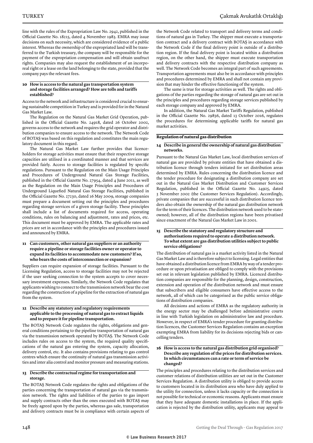line with the rules of the Expropriation Law No. 2942, published in the Official Gazette No. 18215, dated 4 November 1983. EMRA may issue decisions on such necessity, which are considered evidence of a public interest. Whereas the ownership of the expropriated land will be transferred to the Turkish treasury, the company will be responsible for the payment of the expropriation compensation and will obtain usufruct rights. Companies may also request the establishment of an incorporeal right or a lease on the land belonging to the state, provided that the company pays the relevant fees.

#### **10 How is access to the natural gas transportation system and storage facilities arranged? How are tolls and tariffs established?**

Access to the network and infrastructure is considered crucial to ensuring sustainable competition in Turkey and is provided for in the Natural Gas Market Law.

The Regulation on the Natural Gas Market Grid Operation, published in the Official Gazette No. 24918, dated 26 October 2002, governs access to the network and requires the grid operator and distribution companies to ensure access to the network. The Network Code of BOTAŞ was based on this regulation and constitutes the main regulatory document in this regard.

The Natural Gas Market Law further provides that licenceholders for storage activities must ensure that their respective storage capacities are utilised in a coordinated manner and that services are provided fairly. Access to storage facilities is regulated by specific regulations. Pursuant to the Regulation on the Main Usage Principles and Procedures of Underground Natural Gas Storage Facilities, published in the Official Gazette No. 27954, dated 4 June 2011, as well as the Regulation on the Main Usage Principles and Procedures of Underground Liquefied Natural Gas Storage Facilities, published in the Official Gazette No. 27230, dated 16 May 2009, storage companies must prepare a document setting out the principles and procedures regarding storage services of a given storage facility. These principles shall include a list of documents required for access, operating conditions, rules on balancing and adjustment, rates and prices, etc. This document must be approved by EMRA. The applicable rates and prices are set in accordance with the principles and procedures issued and announced by EMRA.

#### **11 Can customers, other natural gas suppliers or an authority require a pipeline or storage facilities owner or operator to expand its facilities to accommodate new customers? If so, who bears the costs of interconnection or expansion?**

Suppliers can require expansion of storage facilities. Pursuant to the Licensing Regulation, access to storage facilities may not be rejected if the user seeking connection to the system accepts to cover necessary investment expenses. Similarly, the Network Code regulates that applicants wishing to connect to the transmission network bear the cost regarding the construction of a pipeline for the extraction of natural gas from the system.

#### **12 Describe any statutory and regulatory requirements applicable to the processing of natural gas to extract liquids and to prepare it for pipeline transportation.**

The BOTAŞ Network Code regulates the rights, obligations and general conditions pertaining to the pipeline transportation of natural gas via the transmission network operated by BOTAŞ. The Network Code includes rules on access to the system, the required quality specifications of the natural gas entering the system, capacity allocation, delivery control, etc. It also contains provisions relating to gas control centres which ensure the continuity of natural gas transmission activities and inter alia control and monitor pressure and measuring stations.

#### **13 Describe the contractual regime for transportation and storage.**

The BOTAŞ Network Code regulates the rights and obligations of the parties concerning the transportation of natural gas via the transmission network. The rights and liabilities of the parties to gas import and supply contracts other than the ones executed with BOTAŞ may be freely agreed upon by the parties, whereas gas sale, transportation and delivery contracts must be in compliance with certain aspects of

the Network Code related to transport and delivery terms and conditions of natural gas in Turkey. The shipper must execute a transportation contract and a delivery contract with BOTAŞ in accordance with the Network Code if the final delivery point is outside of a distribution region. If the final delivery point is located within a distribution region, on the other hand, the shipper must execute transportation and delivery contracts with the respective distribution company as well. The Network Code becomes an integral part of such agreements. Transportation agreements must also be in accordance with principles and procedures determined by EMRA and shall not contain any provision that may hinder the effective functioning of the system.

The same is true for storage activities as well. The rights and obligations of the parties regarding the storage of natural gas are set out in the principles and procedures regarding storage services published by each storage company and approved by EMRA.

In addition, the Natural Gas Market Tariffs Regulation, published in the Official Gazette No. 29856, dated 13 October 2016, regulates the procedures for determining applicable tariffs for natural gas market activities.

#### **Regulation of natural gas distribution**

#### **14 Describe in general the ownership of natural gas distribution networks.**

Pursuant to the Natural Gas Market Law, local distribution services of natural gas are provided by private entities that have obtained a distribution licence through tenders initiated for set distribution areas determined by EMRA. Rules concerning the distribution licence and the tender procedure for designating a distribution company are set out in the Natural Gas Market Distribution and Customer Services Regulation, published in the Official Gazette No. 24925, dated 3 November 2002 (the Customer Services Regulation). Accordingly, private companies that are successful in such distribution licence tenders also obtain the ownership of the natural gas distribution network for the term of their licences. The distribution network used to be stateowned; however, all of the distribution regions have been privatised since enactment of the Natural Gas Market Law in 2001.

#### **15 Describe the statutory and regulatory structure and authorisations required to operate a distribution network. To what extent are gas distribution utilities subject to public service obligations?**

The distribution of natural gas is a market activity listed in the Natural Gas Market Law and is therefore subject to licensing. Legal entities that have obtained a distribution licence from EMRA by way of a tender procedure or upon privatisation are obliged to comply with the provisions set out in relevant legislation published by EMRA. Licenced distribution companies are responsible for the planning, design, construction, extension and operation of the distribution network and must ensure that subscribers and eligible consumers have effective access to the network, all of which can be categorised as the public service obligations of distribution companies.

All decisions and actions of EMRA as the regulatory authority in the energy sector may be challenged before administrative courts in line with Turkish legislation on administrative law and procedure. However, in respect of EMRA's tender procedure for granting distribution licences, the Customer Services Regulation contains an exception exempting EMRA from liability for its decisions rejecting bids or cancelling tenders.

#### **16 How is access to the natural gas distribution grid organised? Describe any regulation of the prices for distribution services. In which circumstances can a rate or term of service be changed?**

The principles and procedures relating to the distribution services and customer relations of distribution utilities are set out in the Customer Services Regulation. A distribution utility is obliged to provide access to customers located in its distribution area who have duly applied to the utility for connection, unless it lacks capacity or the connection is not possible for technical or economic reasons. Applicants must ensure that they have adequate domestic installations in place. If the application is rejected by the distribution utility, applicants may appeal to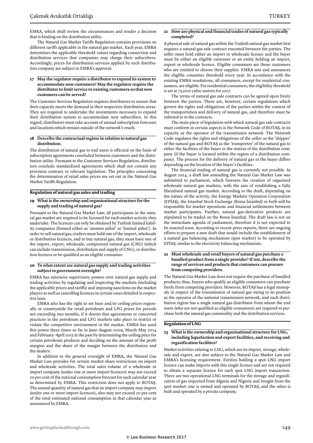EMRA, which shall review the circumstances and render a decision that is binding on the distribution utility.

The Natural Gas Market Tariffs Regulation contains provisions on different tariffs applicable in the natural gas market. Each year, EMRA determines the applicable threshold values regarding connection and distribution services that companies may charge their subscribers. Accordingly, prices for distribution services applied by each distribution company are subject to EMRA's approval.

#### **17 May the regulator require a distributor to expand its system to accommodate new customers? May the regulator require the distributor to limit service to existing customers so that new customers can be served?**

The Customer Services Regulation requires distributors to ensure that their capacity meets the demand in their respective distribution areas. They are required to undertake the investments necessary to expand their distribution system to accommodate new subscribers. In this regard, distributors must take account of annual subscription forecasts and locations which remain outside of the network's reach.

#### **18 Describe the contractual regime in relation to natural gas distribution.**

The distribution of natural gas to end users is effected on the basis of subscription agreements concluded between customers and the distribution utility. Pursuant to the Customer Services Regulation, distributors conclude standardised agreements which shall not contain any provision contrary to relevant legislation. The principles concerning the determination of retail sales prices are set out in the Natural Gas Market Tariffs Regulation.

#### **Regulation of natural gas sales and trading**

#### **19 What is the ownership and organisational structure for the supply and trading of natural gas?**

Pursuant to the Natural Gas Market Law, all participants in the natural gas market are required to be licensed for each market activity they undertake. The licences can only be obtained by Turkish limited liability companies (formed either as 'anonim şirket' or 'limited şirket'). In order to sell natural gas, traders must hold one of the import, wholesale or distribution licences, and to buy natural gas, they must have one of the import, export, wholesale, compressed natural gas (CNG) (which can include transmission, distribution and supply of CNG), or distribution licences or be qualified as an eligible consumer.

#### **20 To what extent are natural gas supply and trading activities subject to government oversight?**

EMRA has extensive supervisory powers over natural gas supply and trading activities by regulating and inspecting the markets (including the applicable prices and tariffs) and imposing sanctions on the market players as well as cancelling licences in certain cases detailed in respective laws.

EMRA also has the right to set base and/or ceiling prices regionally or countrywide for retail petroleum and LPG prices for periods not exceeding two months, if it deems that agreements or concerted practices in the petroleum and LPG markets take place to restrict or violate the competitive environment in the market. EMRA has used this power three times so far in June–August 2009, March–May 2014 and February–April 2015 in the past by determining the ceiling price for certain petroleum products and deciding on the amount of the profit margins and the share of the margin between the distributors and the dealers.

In addition to the general oversight of EMRA, the Natural Gas Market Law provides for certain market share restrictions on import and wholesale activities. The total sales volume of a wholesale or import company (under one or more import licences) may not exceed 20 per cent of the national consumption forecast for such calendar year as determined by EMRA. This restriction does not apply to BOTAŞ. The annual quantity of natural gas that an import company may import (under one or more import licences), also may not exceed 20 per cent of the total estimated national consumption in that calendar year as announced by EMRA.

#### **21 How are physical and financial trades of natural gas typically completed?**

A physical sale of natural gas within the Turkish natural gas market first requires a natural gas sale contract executed between the parties. The seller must hold either an import or wholesale licence and the buyer must be either an eligible customer or an entity holding an import, export or wholesale licence. Eligible consumers are those customers who are entitled to choose their supplier. EMRA sets and announces the eligible consumer threshold every year. In accordance with the existing EMRA resolutions, all consumers, except for residential consumers, are eligible. For residential consumers, the eligibility threshold is set at 75,000 cubic metres for 2017.

The terms of natural gas sale contracts can be agreed upon freely between the parties. There are, however, certain regulations which govern the rights and obligations of the parties within the context of the transportation and delivery of natural gas, and therefore must be referred to in the contracts.

The main piece of legislation with which natural gas sale contracts must conform in certain aspects is the Network Code of BOTAŞ, in its capacity as the operator of the transmission network. The Network Code regulates the rights and obligations of the seller as the 'shipper' of the natural gas and BOTAŞ as the 'transporter' of the natural gas to either the facilities of the buyer or the station of the distribution company (if the buyer is located within the region of a distribution company). The process for the delivery of natural gas to the buyer differs depending on the location of the buyer's facilities.

The financial trading of natural gas is currently not possible. In August 2014, a draft law amending the Natural Gas Market Law was submitted to parliament, which foresees the creation of organised wholesale natural gas markets, with the aim of establishing a fully liberalised natural gas market. According to the draft, depending on the nature of the activity, the Energy Markets Operation Corporation (EPİAŞ), the Istanbul Stock Exchange (Borsa İstanbul) or both will be responsible for market operations and financial settlements between market participants. Further, natural gas-derivative products are stipulated to be traded on the Borsa İstanbul. The draft law is not on the immediate agenda of parliament; therefore it is not expected to be enacted soon. According to recent press reports, there are ongoing efforts to prepare a new draft that would include the establishment of a natural gas balancing mechanism (spot market) to be operated by EPİAŞ, similar to the electricity balancing mechanism.

#### **22 Must wholesale and retail buyers of natural gas purchase a bundled product from a single provider? If not, describe the range of services and products that customers can procure from competing providers.**

The Natural Gas Market Law does not require the purchase of bundled products; thus, buyers who qualify as eligible consumers can purchase freely from competing providers. However, BOTAŞ has a legal monopoly in respect of the transmission of natural gas owing to its position as the operator of the national transmission network, and each distribution region has a single natural gas distributor from whom the end users (who are not qualified as eligible consumers) are required to purchase both the natural gas commodity and the distribution services.

#### **Regulation of LNG**

#### **23 What is the ownership and organisational structure for LNG, including liquefaction and export facilities, and receiving and regasification facilities?**

Market activities relating to LNG, which are its import, storage, wholesale and export, are also subject to the Natural Gas Market Law and EMRA's licensing requirement. Entities holding a spot LNG import licence can make imports with this single licence and are not required to obtain a separate licence for each spot LNG import transaction. There are two operational LNG terminals for the storage and regasification of gas imported from Algeria and Nigeria and bought from the spot market: one is owned and operated by BOTAŞ, and the other is built and operated by a private company.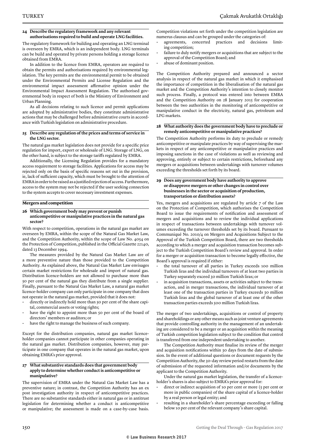#### **24 Describe the regulatory framework and any relevant authorisations required to build and operate LNG facilities.**

The regulatory framework for building and operating an LNG terminal is overseen by EMRA, which is an independent body. LNG terminals can be build and operated by private persons holding a storage licence obtained from EMRA.

In addition to the licence from EMRA, operators are required to obtain the permits and authorisations required by environmental legislation. The key permits are the environmental permit to be obtained under the Environmental Permits and License Regulation and the environmental impact assessment affirmative opinion under the Environmental Impact Assessment Regulation. The authorised governmental body in respect of both is the Ministry of Environment and Urban Planning.

As all decisions relating to such licence and permit applications are adopted by administrative bodies, they constitute administrative actions that may be challenged before administrative courts in accordance with Turkish legislation on administrative procedure.

#### **25 Describe any regulation of the prices and terms of service in the LNG sector.**

The natural gas market legislation does not provide for a specific price regulation for import, export or wholesale of LNG. Storage of LNG, on the other hand, is subject to the storage tariffs regulated by EMRA.

Additionally, the Licensing Regulation provides for a mandatory access requirement to storage facilities. Applications for access may be rejected only on the basis of specific reasons set out in the provision, ie, lack of sufficient capacity, which must be brought to the attention of EMRA in order to be raised as a justified rejection of access. Furthermore, access to the system may not be rejected if the user seeking connection to the system accepts to cover necessary investment expenses.

#### **Mergers and competition**

**26 Which government body may prevent or punish anticompetitive or manipulative practices in the natural gas sector?**

With respect to competition, operations in the natural gas market are overseen by EMRA, within the scope of the Natural Gas Market Law, and the Competition Authority, within the scope of Law No. 4054 on the Protection of Competition, published in the Official Gazette 22140, dated 13 December 1994.

The measures provided by the Natural Gas Market Law are of a more preventive nature than those provided to the Competition Authority. As explained above, the Natural Gas Market Law envisages certain market restrictions for wholesale and import of natural gas. Distribution licence-holders are not allowed to purchase more than 50 per cent of the natural gas they distribute from a single supplier. Finally, pursuant to the Natural Gas Market Law, a natural gas market licence-holder company can only participate in one company that does not operate in the natural gas market, provided that it does not:

- directly or indirectly hold more than 50 per cent of the share capital, commercial assets or voting rights;
- have the right to appoint more than 50 per cent of the board of directors' members or auditors; or
- have the right to manage the business of such company.

Except for the distribution companies, natural gas market licenceholder companies cannot participate in other companies operating in the natural gas market. Distribution companies, however, may participate in one company that operates in the natural gas market, upon obtaining EMRA's prior approval.

#### **27 What substantive standards does that government body apply to determine whether conduct is anticompetitive or manipulative?**

The supervision of EMRA under the Natural Gas Market Law has a preventive nature; in contrast, the Competition Authority has an ex post investigation authority in respect of anticompetitive practices. There are no substantive standards either in natural gas or in antitrust legislation for determining whether a conduct is anticompetitive or manipulative; the assessment is made on a case-by-case basis. Competition violations set forth under the competition legislation are numerus clausus and can be grouped under the categories of:

- agreements, concerted practices and decisions limiting competition;
- failure to duly notify mergers or acquisitions that are subject to the approval of the Competition Board; and
- abuse of dominant position.

The Competition Authority prepared and announced a sector analysis in respect of the natural gas market in which it emphasised the importance of competition in the liberalisation of the natural gas market and the Competition Authority's intention to closely monitor such process. Finally, a protocol was entered into between EMRA and the Competition Authority on 28 January 2015 for cooperation between the two authorities in the monitoring of anticompetitive or manipulative conduct in the electricity, natural gas, petroleum and LPG markets.

#### **28 What authority does the government body have to preclude or remedy anticompetitive or manipulative practices?**

The Competition Authority performs its duty to preclude or remedy anticompetitive or manipulate practices by way of supervising the markets in respect of any anticompetitive or manipulative practices and imposing sanctions in the case of violations as well as reviewing and approving, entirely or subject to certain restrictions, beforehand any mergers or acquisitions between undertakings with turnover volumes exceeding the thresholds set forth by its board.

#### **29 Does any government body have authority to approve or disapprove mergers or other changes in control over businesses in the sector or acquisition of production, transportation or distribution assets?**

Yes, mergers and acquisitions are regulated by article 7 of the Law on the Protection of Competition, which authorises the Competition Board to issue the requirements of notification and assessment of mergers and acquisitions and to review the individual applications in respect of transactions between undertakings with turnover volumes exceeding the turnover thresholds set by its board. Pursuant to Communiqué No. 2010/4 on Mergers and Acquisitions Subject to the Approval of the Turkish Competition Board, there are two thresholds according to which a merger and acquisition transaction becomes subject to the Turkish Competition Board's review and approval. In order for a merger or acquisition transaction to become legally effective, the Board's approval is required if either:

- the total turnover of all parties in Turkey exceeds 100 million Turkish liras and the individual turnovers of at least two parties in Turkey separately exceed 30 million Turkish liras; or
- in acquisition transactions, assets or activities subject to the transaction, and in merger transactions, the individual turnover of at least one of the transaction parties in Turkey exceeds 30 million Turkish liras and the global turnover of at least one of the other transaction parties exceeds 500 million Turkish liras.

The merger of two undertakings, acquisitions or control of property and shareholdings or any other means such as joint venture agreements that provide controlling authority in the management of an undertaking are considered to be a merger or an acquisition within the meaning of Turkish competition legislation subject to the condition that control is transferred from one independent undertaking to another.

The Competition Authority must finalise its review of the merger and acquisition notifications within 30 days from the date of submission. In the event of additional questions or document requests by the Competition Authority, the 30-day review period restarts from the date of submission of the requested information and/or documents by the applicant to the Competition Authority.

Under the natural gas market legislation, the transfer of a licenceholder's shares is also subject to EMRA's prior approval for:

- direct or indirect acquisition of 10 per cent or more (5 per cent or more in public companies) of the share capital of a licence-holder by a real person or legal entity; and
- resulting in a shareholder's share percentage exceeding or falling below 10 per cent of the relevant company's share capital.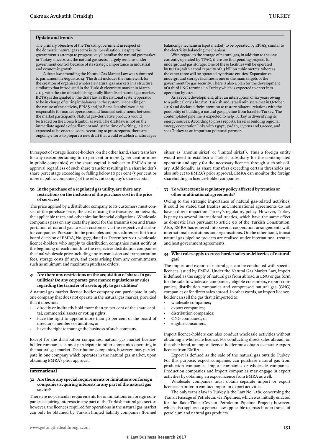#### **Update and trends**

The primary objective of the Turkish government in respect of the domestic natural gas sector is its liberalisation. Despite the government's attempt to progressively liberalise the natural gas market in Turkey since 2001, the natural gas sector largely remains under government control because of its strategic importance in industrial and economic growth.

A draft law amending the Natural Gas Market Law was submitted to parliament in August 2014. The draft includes the framework for the creation of organised wholesale natural gas markets in a structure similar to that introduced in the Turkish electricity market in March 2015, with the aim of establishing a fully liberalised natural gas market. BOTAŞ is designated in the draft law as the national system operator to be in charge of curing imbalances in the system. Depending on the nature of the activity, EPİAŞ and/or Borsa İstanbul would be responsible for market operations and financial settlements between the market participants. Natural gas-derivative products would be traded on the Borsa İstanbul as well. The draft law is not on the immediate agenda of parliament and, at the time of writing, it is not expected to be enacted soon. According to press reports, there are ongoing efforts to prepare a new draft that would establish a natural gas

In respect of storage licence-holders, on the other hand, share transfers for any reason pertaining to 10 per cent or more (5 per cent or more in public companies) of the share capital is subject to EMRA's prior approval regardless of such share transfer resulting in a shareholder's share percentage exceeding or falling below 10 per cent (5 per cent or more in public companies) of the relevant company's share capital.

#### **30 In the purchase of a regulated gas utility, are there any restrictions on the inclusion of the purchase cost in the price of services?**

The price applied by a distributor company to its customers must consist of the purchase price, the cost of using the transmission network, the applicable taxes and other similar financial obligations. Wholesale companies pass on any costs they incur for the transmission and transportation of natural gas to each customer via the respective distributor companies. Pursuant to the principles and procedures set forth in a board decision of EMRA, No. 3577, dated 22 December 2011, wholesale licence-holders who supply to distribution companies must notify at the beginning of each month to the respective distribution companies the final wholesale price including any transmission and transportation fees, storage costs (if any), and costs arising from any commitments such as minimum and maximum purchase orders.

#### **31 Are there any restrictions on the acquisition of shares in gas utilities? Do any corporate governance regulations or rules regarding the transfer of assets apply to gas utilities?**

A natural gas market licence-holder company can participate in only one company that does not operate in the natural gas market, provided that it does not:

- directly or indirectly hold more than 50 per cent of the share capital, commercial assets or voting rights;
- have the right to appoint more than 50 per cent of the board of directors' members or auditors; or
- have the right to manage the business of such company.

Except for the distribution companies, natural gas market licenceholder companies cannot participate in other companies operating in the natural gas market. Distribution companies, however, may participate in one company which operates in the natural gas market, upon obtaining EMRA's prior approval.

#### **International**

#### **32 Are there any special requirements or limitations on foreign companies acquiring interests in any part of the natural gas sector?**

There are no particular requirements for or limitations on foreign companies acquiring interests in any part of the Turkish natural gas sector; however, the licences required for operations in the natural gas market can only be obtained by Turkish limited liability companies (formed

With regard to the storage of natural gas, in addition to the one currently operated by TPAO, there are four pending projects for underground gas storage. One of these facilities will be operated by BOTAŞ with a total capacity of 1.5 billion cubic metres; whereas the other three will be operated by private entities. Expansion of underground storage facilities is one of the main targets of the government for gas security. There is also a plan for the development of a third LNG terminal in Turkey which is expected to enter into operation by 2021.

As a recent development, after an interruption of six years owing to a political crisis in 2010, Turkish and Israeli ministers met in October 2016 and declared their intention to restore bilateral relations with the possibility of building a natural gas pipeline from Israel to Turkey. The contemplated pipeline is expected to help Turkey in diversifying its energy sources. According to press reports, Israel is building regional energy cooperation links with Egypt, Jordan, Cyprus and Greece, and sees Turkey as an important potential partner.

either as 'anonim şirket' or 'limited şirket'). Thus a foreign entity would need to establish a Turkish subsidiary for the contemplated operation and apply for the necessary licences through such subsidiary. Additionally, as share transfers exceeding certain thresholds are also subject to EMRA's prior approval, EMRA can monitor the foreign shareholding in licence-holder companies.

#### **33 To what extent is regulatory policy affected by treaties or other multinational agreements?**

Owing to the strategic importance of natural gas-related activities, it could be stated that treaties and international agreements do not have a direct impact on Turkey's regulatory policy. However, Turkey is party to several international treaties, which have the same effect as domestic laws pursuant to article 90 of the Turkish Constitution. Also, EMRA has entered into several cooperation arrangements with international institutions and organisations. On the other hand, transit natural gas pipeline projects are realised under international treaties and host government agreements.

#### **34 What rules apply to cross-border sales or deliveries of natural gas?**

The import and export of natural gas can be conducted with specific licences issued by EMRA. Under the Natural Gas Market Law, import is defined as the supply of natural gas from abroad in LNG or gas form for the sale to wholesale companies, eligible consumers, export companies, distribution companies and compressed natural gas (CNG) companies or for direct sales abroad. In other words, an import licenceholder can sell the gas that it imported to:

- wholesale companies;
- export companies;
- distribution companies;
- CNG companies; or
- eligible consumers.

Import licence-holders can also conduct wholesale activities without obtaining a wholesale licence. For conducting direct sales abroad, on the other hand, an import licence-holder must obtain a separate export licence from EMRA.

Export is defined as the sale of the natural gas outside Turkey. For this purpose, export companies can purchase natural gas from production companies, import companies or wholesale companies. Production companies and import companies may engage in export activities by obtaining an export licence from EMRA as well.

Wholesale companies must obtain separate import or export licences in order to conduct import or export activities.

The only transit law in Turkey is the Law No. 4586 concerning the Transit Passage of Petroleum via Pipelines, which was initially enacted for the Baku-Tbilisi-Ceyhan Petroleum Pipeline Project; however, which also applies as a general law applicable to cross-border transit of petroleum and natural gas products.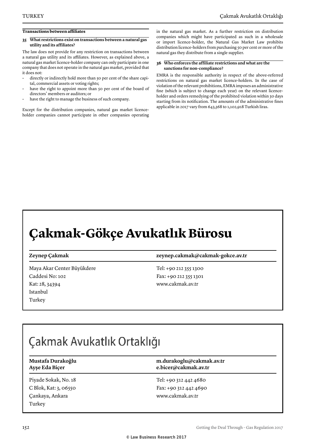#### **Transactions between affiliates**

#### **35 What restrictions exist on transactions between a natural gas utility and its affiliates?**

The law does not provide for any restriction on transactions between a natural gas utility and its affiliates. However, as explained above, a natural gas market licence-holder company can only participate in one company that does not operate in the natural gas market, provided that it does not:

- directly or indirectly hold more than 50 per cent of the share capital, commercial assets or voting rights;
- have the right to appoint more than 50 per cent of the board of directors' members or auditors; or
- have the right to manage the business of such company.

Except for the distribution companies, natural gas market licenceholder companies cannot participate in other companies operating in the natural gas market. As a further restriction on distribution companies which might have participated as such in a wholesale or import licence-holder, the Natural Gas Market Law prohibits distribution licence-holders from purchasing 50 per cent or more of the natural gas they distribute from a single supplier.

#### **36 Who enforces the affiliate restrictions and what are the sanctions for non-compliance?**

EMRA is the responsible authority in respect of the above-referred restrictions on natural gas market licence-holders. In the case of violation of the relevant prohibitions, EMRA imposes an administrative fine (which is subject to change each year) on the relevant licenceholder and orders remedying of the prohibited violation within 30 days starting from its notification. The amounts of the administrative fines applicable in 2017 vary from 643,368 to 1,102,918 Turkish liras.

### **Çakmak-Gökçe Avukatlık Bürosu**

Maya Akar Center Büyükdere Caddesi No: 102 Kat: 28, 34394 Istanbul Turkey

**Zeynep Çakmak zeynep.cakmak@cakmak-gokce.av.tr**

Tel: +90 212 355 1300 Fax: +90 212 355 1301 www.cakmak.av.tr

### Çakmak Avukatlık Ortaklığı

| Mustafa Durakoğlu |
|-------------------|
| Ayşe Eda Biçer    |

Piyade Sokak, No. 18 C Blok, Kat: 3, 06550 Çankaya, Ankara Turkey

**Mustafa Durakoğlu m.durakoglu@cakmak.av.tr Ayşe Eda Biçer e.bicer@cakmak.av.tr**

Tel: +90 312 442 4680 Fax: +90 312 442 4690 www.cakmak.av.tr